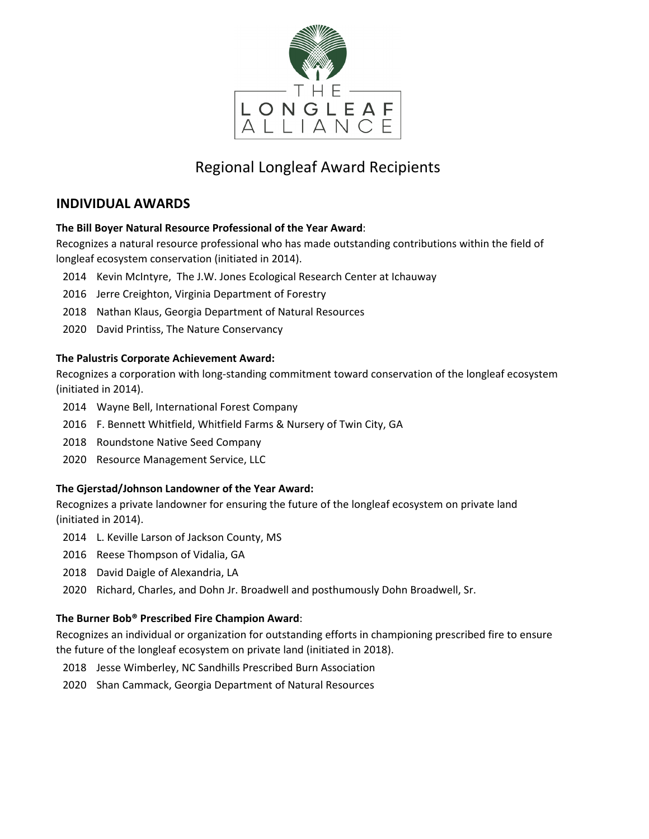

# Regional Longleaf Award Recipients

### **INDIVIDUAL AWARDS**

### **The Bill Boyer Natural Resource Professional of the Year Award**:

Recognizes a natural resource professional who has made outstanding contributions within the field of longleaf ecosystem conservation (initiated in 2014).

- 2014 Kevin McIntyre, The J.W. Jones Ecological Research Center at Ichauway
- 2016 Jerre Creighton, Virginia Department of Forestry
- 2018 Nathan Klaus, Georgia Department of Natural Resources
- 2020 David Printiss, The Nature Conservancy

### **The Palustris Corporate Achievement Award:**

Recognizes a corporation with long-standing commitment toward conservation of the longleaf ecosystem (initiated in 2014).

- 2014 Wayne Bell, International Forest Company
- 2016 F. Bennett Whitfield, Whitfield Farms & Nursery of Twin City, GA
- 2018 Roundstone Native Seed Company
- 2020 Resource Management Service, LLC

### **The Gjerstad/Johnson Landowner of the Year Award:**

Recognizes a private landowner for ensuring the future of the longleaf ecosystem on private land (initiated in 2014).

- 2014 L. Keville Larson of Jackson County, MS
- 2016 Reese Thompson of Vidalia, GA
- 2018 David Daigle of Alexandria, LA
- 2020 Richard, Charles, and Dohn Jr. Broadwell and posthumously Dohn Broadwell, Sr.

### **The Burner Bob® Prescribed Fire Champion Award**:

Recognizes an individual or organization for outstanding efforts in championing prescribed fire to ensure the future of the longleaf ecosystem on private land (initiated in 2018).

- 2018 Jesse Wimberley, NC Sandhills Prescribed Burn Association
- 2020 Shan Cammack, Georgia Department of Natural Resources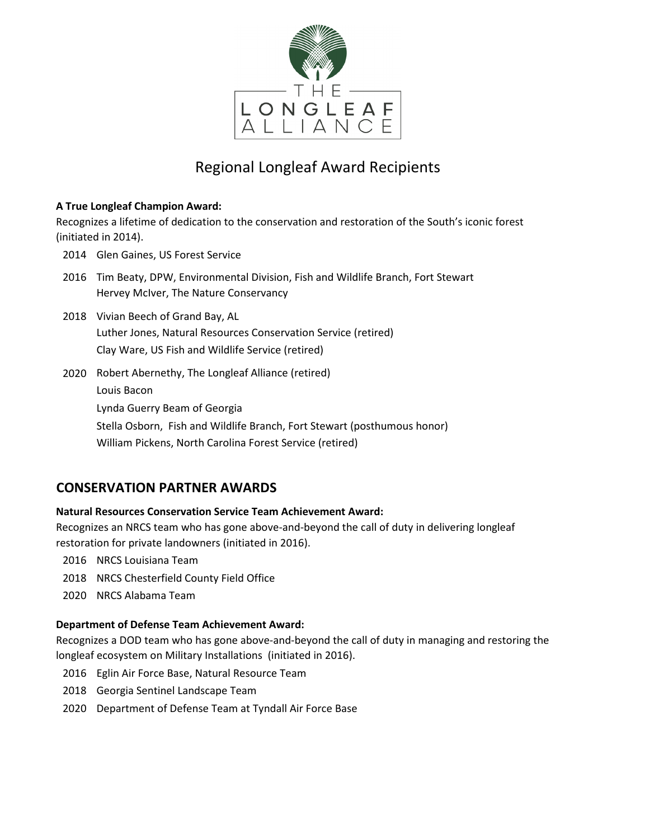

# Regional Longleaf Award Recipients

### **A True Longleaf Champion Award:**

Recognizes a lifetime of dedication to the conservation and restoration of the South's iconic forest (initiated in 2014).

- 2014 Glen Gaines, US Forest Service
- 2016 Tim Beaty, DPW, Environmental Division, Fish and Wildlife Branch, Fort Stewart Hervey McIver, The Nature Conservancy
- 2018 Vivian Beech of Grand Bay, AL Luther Jones, Natural Resources Conservation Service (retired) Clay Ware, US Fish and Wildlife Service (retired)
- 2020 Robert Abernethy, The Longleaf Alliance (retired) Louis Bacon Lynda Guerry Beam of Georgia Stella Osborn, Fish and Wildlife Branch, Fort Stewart (posthumous honor) William Pickens, North Carolina Forest Service (retired)

## **CONSERVATION PARTNER AWARDS**

### **Natural Resources Conservation Service Team Achievement Award:**

Recognizes an NRCS team who has gone above-and-beyond the call of duty in delivering longleaf restoration for private landowners (initiated in 2016).

- 2016 NRCS Louisiana Team
- 2018 NRCS Chesterfield County Field Office
- 2020 NRCS Alabama Team

### **Department of Defense Team Achievement Award:**

Recognizes a DOD team who has gone above-and-beyond the call of duty in managing and restoring the longleaf ecosystem on Military Installations(initiated in 2016).

- 2016 Eglin Air Force Base, Natural Resource Team
- 2018 Georgia Sentinel Landscape Team
- 2020 Department of Defense Team at Tyndall Air Force Base